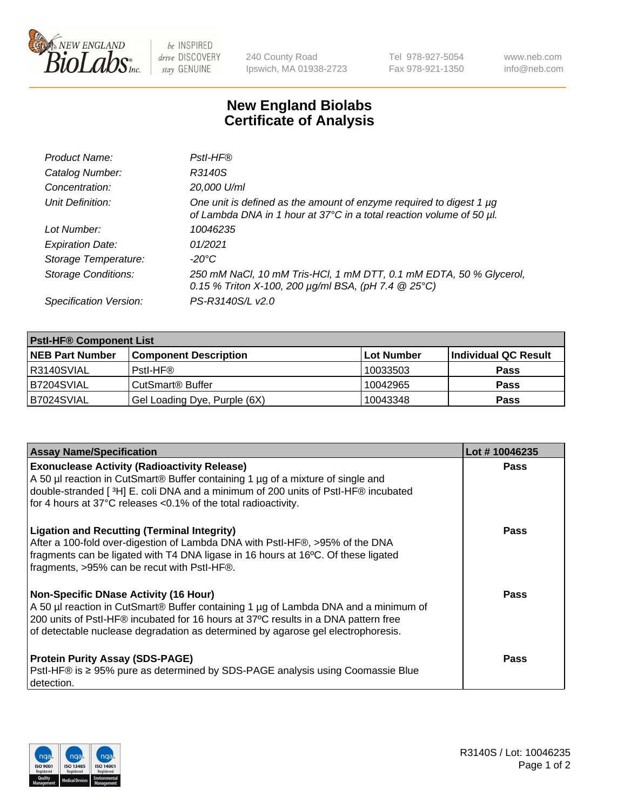

 $be$  INSPIRED drive DISCOVERY stay GENUINE

240 County Road Ipswich, MA 01938-2723 Tel 978-927-5054 Fax 978-921-1350 www.neb.com info@neb.com

## **New England Biolabs Certificate of Analysis**

| Product Name:              | Pstl-HF®                                                                                                                                             |
|----------------------------|------------------------------------------------------------------------------------------------------------------------------------------------------|
| Catalog Number:            | R3140S                                                                                                                                               |
| Concentration:             | 20,000 U/ml                                                                                                                                          |
| Unit Definition:           | One unit is defined as the amount of enzyme required to digest 1 µg<br>of Lambda DNA in 1 hour at 37°C in a total reaction volume of 50 µl.          |
| Lot Number:                | 10046235                                                                                                                                             |
| <b>Expiration Date:</b>    | 01/2021                                                                                                                                              |
| Storage Temperature:       | $-20^{\circ}$ C                                                                                                                                      |
| <b>Storage Conditions:</b> | 250 mM NaCl, 10 mM Tris-HCl, 1 mM DTT, 0.1 mM EDTA, 50 % Glycerol,<br>0.15 % Triton X-100, 200 $\mu$ g/ml BSA, (pH 7.4 $\textcircled{25}^{\circ}$ C) |
| Specification Version:     | PS-R3140S/L v2.0                                                                                                                                     |

| <b>PstI-HF® Component List</b> |                              |            |                      |  |
|--------------------------------|------------------------------|------------|----------------------|--|
| <b>NEB Part Number</b>         | <b>Component Description</b> | Lot Number | Individual QC Result |  |
| R3140SVIAL                     | Pstl-HF®                     | 10033503   | <b>Pass</b>          |  |
| B7204SVIAL                     | CutSmart® Buffer             | 10042965   | <b>Pass</b>          |  |
| IB7024SVIAL                    | Gel Loading Dye, Purple (6X) | 10043348   | <b>Pass</b>          |  |

| <b>Assay Name/Specification</b>                                                                                                                                                                                                                                                                               | Lot #10046235 |
|---------------------------------------------------------------------------------------------------------------------------------------------------------------------------------------------------------------------------------------------------------------------------------------------------------------|---------------|
| <b>Exonuclease Activity (Radioactivity Release)</b><br>A 50 µl reaction in CutSmart® Buffer containing 1 µg of a mixture of single and                                                                                                                                                                        | <b>Pass</b>   |
| double-stranded [3H] E. coli DNA and a minimum of 200 units of PstI-HF® incubated<br>for 4 hours at 37°C releases <0.1% of the total radioactivity.                                                                                                                                                           |               |
| <b>Ligation and Recutting (Terminal Integrity)</b><br>After a 100-fold over-digestion of Lambda DNA with PstI-HF®, >95% of the DNA<br>fragments can be ligated with T4 DNA ligase in 16 hours at 16°C. Of these ligated<br>fragments, >95% can be recut with PstI-HF®.                                        | Pass          |
| <b>Non-Specific DNase Activity (16 Hour)</b><br>A 50 µl reaction in CutSmart® Buffer containing 1 µg of Lambda DNA and a minimum of<br>200 units of PstI-HF® incubated for 16 hours at 37°C results in a DNA pattern free<br>of detectable nuclease degradation as determined by agarose gel electrophoresis. | <b>Pass</b>   |
| <b>Protein Purity Assay (SDS-PAGE)</b><br>PstI-HF® is ≥ 95% pure as determined by SDS-PAGE analysis using Coomassie Blue<br>I detection.                                                                                                                                                                      | Pass          |